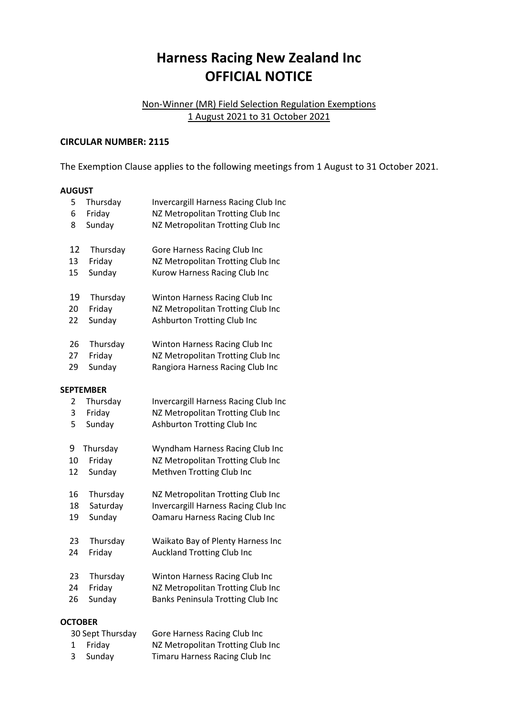## **Harness Racing New Zealand Inc OFFICIAL NOTICE**

## Non-Winner (MR) Field Selection Regulation Exemptions 1 August 2021 to 31 October 2021

## **CIRCULAR NUMBER: 2115**

The Exemption Clause applies to the following meetings from 1 August to 31 October 2021.

## **AUGUST**

| 5                | Thursday | Invercargill Harness Racing Club Inc  |  |  |
|------------------|----------|---------------------------------------|--|--|
| 6                | Friday   | NZ Metropolitan Trotting Club Inc     |  |  |
| 8                | Sunday   | NZ Metropolitan Trotting Club Inc     |  |  |
| 12               | Thursday | Gore Harness Racing Club Inc          |  |  |
| 13               | Friday   | NZ Metropolitan Trotting Club Inc     |  |  |
| 15               | Sunday   | Kurow Harness Racing Club Inc         |  |  |
| 19               | Thursday | Winton Harness Racing Club Inc        |  |  |
| 20               | Friday   | NZ Metropolitan Trotting Club Inc     |  |  |
| 22               | Sunday   | <b>Ashburton Trotting Club Inc</b>    |  |  |
| 26               | Thursday | Winton Harness Racing Club Inc        |  |  |
| 27               | Friday   | NZ Metropolitan Trotting Club Inc     |  |  |
| 29               | Sunday   | Rangiora Harness Racing Club Inc      |  |  |
| <b>SEPTEMBER</b> |          |                                       |  |  |
| 2                | Thursday | Invercargill Harness Racing Club Inc  |  |  |
| 3                | Friday   | NZ Metropolitan Trotting Club Inc     |  |  |
| 5                | Sunday   | Ashburton Trotting Club Inc           |  |  |
| 9                | Thursday | Wyndham Harness Racing Club Inc       |  |  |
| 10               | Friday   | NZ Metropolitan Trotting Club Inc     |  |  |
| 12               | Sunday   | Methven Trotting Club Inc             |  |  |
| 16               | Thursday | NZ Metropolitan Trotting Club Inc     |  |  |
| 18               | Saturday | Invercargill Harness Racing Club Inc  |  |  |
| 19               | Sunday   | <b>Oamaru Harness Racing Club Inc</b> |  |  |
| 23               | Thursday | Waikato Bay of Plenty Harness Inc     |  |  |
| 24               | Friday   | <b>Auckland Trotting Club Inc</b>     |  |  |
| 23               | Thursday | Winton Harness Racing Club Inc        |  |  |
| 24               | Friday   | NZ Metropolitan Trotting Club Inc     |  |  |
| 26               | Sunday   | Banks Peninsula Trotting Club Inc     |  |  |
| <b>OCTOBER</b>   |          |                                       |  |  |

| 30 Sept Thursday | Gore Harness Racing Club Inc      |
|------------------|-----------------------------------|
| 1 Fridav         | NZ Metropolitan Trotting Club Inc |
| 3 Sunday         | Timaru Harness Racing Club Inc    |